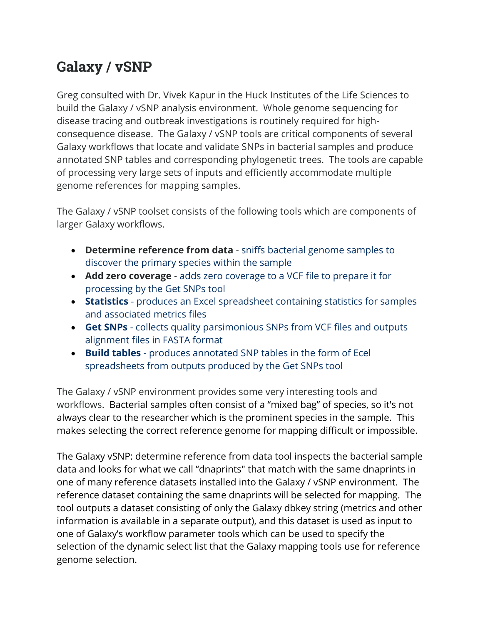## **Galaxy / vSNP**

Greg consulted with Dr. Vivek Kapur in the Huck Institutes of the Life Sciences to build the Galaxy / vSNP analysis environment. Whole genome sequencing for disease tracing and outbreak investigations is routinely required for highconsequence disease. The Galaxy / vSNP tools are critical components of several Galaxy workflows that locate and validate SNPs in bacterial samples and produce annotated SNP tables and corresponding phylogenetic trees. The tools are capable of processing very large sets of inputs and efficiently accommodate multiple genome references for mapping samples.

The Galaxy / vSNP toolset consists of the following tools which are components of larger Galaxy workflows.

- **Determine reference from data** sniffs bacterial genome samples to discover the primary species within the sample
- **Add zero coverage** adds zero coverage to a VCF file to prepare it for processing by the Get SNPs tool
- **Statistics** produces an Excel spreadsheet containing statistics for samples and associated metrics files
- **Get SNPs** collects quality parsimonious SNPs from VCF files and outputs alignment files in FASTA format
- **Build tables** produces annotated SNP tables in the form of Ecel spreadsheets from outputs produced by the Get SNPs tool

The Galaxy / vSNP environment provides some very interesting tools and workflows. Bacterial samples often consist of a "mixed bag" of species, so it's not always clear to the researcher which is the prominent species in the sample. This makes selecting the correct reference genome for mapping difficult or impossible.

The Galaxy vSNP: determine reference from data tool inspects the bacterial sample data and looks for what we call "dnaprints" that match with the same dnaprints in one of many reference datasets installed into the Galaxy / vSNP environment. The reference dataset containing the same dnaprints will be selected for mapping. The tool outputs a dataset consisting of only the Galaxy dbkey string (metrics and other information is available in a separate output), and this dataset is used as input to one of Galaxy's workflow parameter tools which can be used to specify the selection of the dynamic select list that the Galaxy mapping tools use for reference genome selection.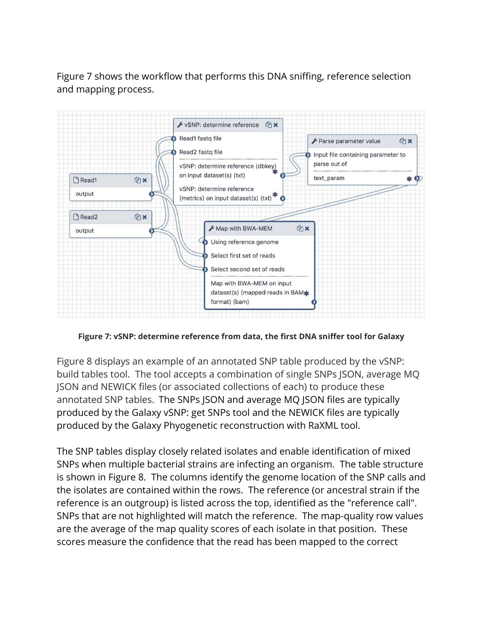Figure 7 shows the workflow that performs this DNA sniffing, reference selection and mapping process.



**Figure 7: vSNP: determine reference from data, the first DNA sniffer tool for Galaxy**

Figure 8 displays an example of an annotated SNP table produced by the vSNP: build tables tool. The tool accepts a combination of single SNPs JSON, average MQ JSON and NEWICK files (or associated collections of each) to produce these annotated SNP tables. The SNPs JSON and average MQ JSON files are typically produced by the Galaxy vSNP: get SNPs tool and the NEWICK files are typically produced by the Galaxy Phyogenetic reconstruction with RaXML tool.

The SNP tables display closely related isolates and enable identification of mixed SNPs when multiple bacterial strains are infecting an organism. The table structure is shown in Figure 8. The columns identify the genome location of the SNP calls and the isolates are contained within the rows. The reference (or ancestral strain if the reference is an outgroup) is listed across the top, identified as the "reference call". SNPs that are not highlighted will match the reference. The map-quality row values are the average of the map quality scores of each isolate in that position. These scores measure the confidence that the read has been mapped to the correct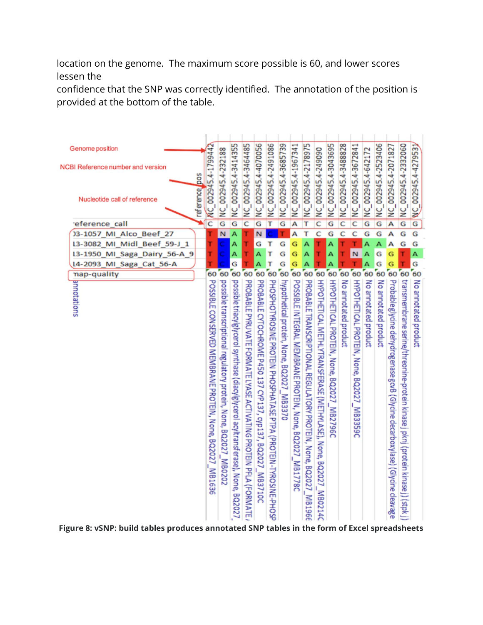location on the genome. The maximum score possible is 60, and lower scores lessen the

confidence that the SNP was correctly identified. The annotation of the position is provided at the bottom of the table.



**Figure 8: vSNP: build tables produces annotated SNP tables in the form of Excel spreadsheets**